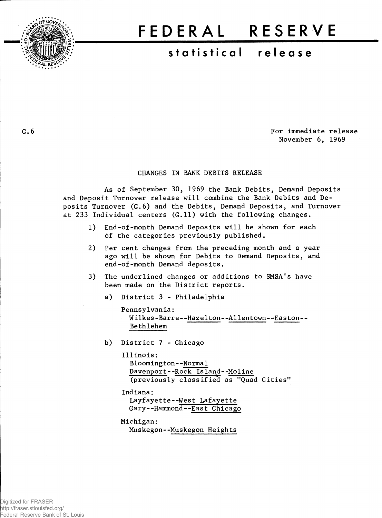

## FEDERA L RESERV E

## **statistica l releas e**

**.6** For immediate release November 6, 1969

## CHANGES IN BANK DEBITS RELEASE

As of September 30, 1969 the Bank Debits, Demand Deposits and Deposit Turnover release will combine the Bank Debits and Deposits Turnover (G.6) and the Debits, Demand Deposits, and Turnover at 233 Individual centers (G.11) with the following changes.

- 1) End-of-month Demand Deposits will be shown for each of the categories previously published.
- 2) Per cent changes from the preceding month and a year ago will be shown for Debits to Demand Deposits, and end-of-month Demand deposits.
- 3) The underlined changes or additions to SMSA's have been made on the District reports.
	- a) District 3 Philadelphia

```
Pennsylvania: 
 Wilkes-Barre--Hazelton--Allentown--Easton--
  Bethlehem
```
- b) District 7 Chicago
	- Illinois: Bloomington--Normal Davenport--Rock Island--Moline (previously classified as "Quad Cities"
	- Indiana:
		- Layfayette--West Lafayette Gary--Hammond--East Chicago

Michigan:

Muskegon--Muskegon Heights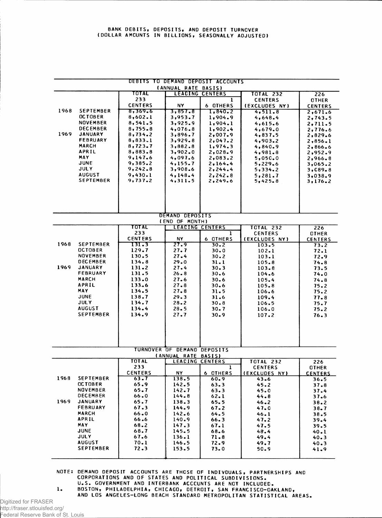|      |                                   |                    | (ANNUAL RATE BASIS)                                | DEBITS TO DEMAND DEPOSIT ACCOUNTS |                    |                |
|------|-----------------------------------|--------------------|----------------------------------------------------|-----------------------------------|--------------------|----------------|
|      |                                   | TOTAL              |                                                    | <b>LEADING CENTERS</b>            | <b>TOTAL 232</b>   | 226            |
|      |                                   | 233                |                                                    | 1                                 | <b>CENTERS</b>     | <b>OTHER</b>   |
|      |                                   | <b>CENTERS</b>     | NY.                                                | 6 OTHERS                          | (EXCLUDES NY)      | <b>CENTERS</b> |
| 1968 | <b>SEPTEMBER</b>                  | 8,369.6            | 3,857.8                                            | 1,840.2                           | 4, 511.8           | 2,671.6        |
|      | <b>OCTOBER</b>                    | 8,602.1            | 3,953.7                                            | 1,904.9                           | 4,648.4            | 2,743.5        |
|      | <b>NOVEMBER</b>                   | 8,541.5            | 3,925.9                                            | 1,904.1                           | 4,615.6            | 2,711.5        |
|      | <b>DECEMBER</b>                   | 8,755.8            | 4,076.8                                            | 1,902.4                           | 4,679.0            | 2,776.6        |
| 1969 | <b>JANUARY</b>                    | 8,734.2            | 3,896.7                                            | 2,007.9                           | 4,837.5            | 2,829.6        |
|      | <b>FEBRUARY</b>                   | 8,833.1            | 3,929.8                                            | 2,047.2                           | 4,903.2            | 2,856.1        |
|      | <b>MARCH</b>                      | 8,723,7            | 3,882.8                                            | 1,974.3                           | 4,840.9            | 2.866.6        |
|      | APRIL                             | 8,883.8            | 3,902.0                                            | 2,028.9                           | 4,981.8            | 2,952.9        |
|      | MAY                               | 9,147.6            | 4,097.6                                            | 2,083.2                           | 5,050.0            | 2,966.8        |
|      | <b>JUNE</b><br><b>JULY</b>        | 9,385.2            | 4,155.7                                            | 2,164.4                           | 5,229.6            | 3,065.2        |
|      | <b>AUGUST</b>                     | 9,242.8            | 3,908.6                                            | 2, 244.4                          | 5,334.2            | 3,089,8        |
|      | <b>SEPTEMBER</b>                  | 9,430.1<br>9,737.2 | 4,148.4<br>4,311.5                                 | 2, 242.8<br>2,249.6               | 5,281.7<br>5,425.8 | 3,038.9        |
|      |                                   |                    |                                                    |                                   |                    | 3,176.2        |
|      |                                   |                    | DEMAND DEPOSITS                                    |                                   |                    |                |
|      |                                   |                    | (END OF MONTH)                                     |                                   |                    |                |
|      |                                   | TOTAL              | <b>LEACING CENTERS</b>                             |                                   | <b>TOTAL 232</b>   | 226            |
|      |                                   | 233                |                                                    | 1                                 | <b>CENTERS</b>     | <b>OTHER</b>   |
|      |                                   | <b>CENTERS</b>     | NY.                                                | 6 OTHERS                          | (EXCLUDES NY)      | <b>CENTERS</b> |
| 1968 | <b>SEPTEMBER</b>                  | 131.3              | 27.9                                               | $30 - 2$                          | 103.5              | 73.2           |
|      | <b>OCTOBER</b>                    | 129.7              | 27.7                                               | 30.0                              | $102 - 1$          | 72.1           |
|      | NOVEMBER                          | 130.5              | 27.4                                               | $30 - 2$                          | 103.1              | 72.9           |
|      | <b>DECEMBER</b>                   | 134.8              | 29.0                                               | $31 - 1$                          | 105.8              | 74.8           |
| 1969 | <b>JANUARY</b><br>FEBRUARY        | $131 - 2$          | 27.4                                               | 30.3                              | 103.8              | 73.5           |
|      | <b>MARCH</b>                      | 131.5<br>133.0     | $26 - 8$<br>27.6                                   | 30.6                              | 104.6              | 74.0           |
|      | <b>APRIL</b>                      | 133.6              | 27.8                                               | $30 - 6$<br>$30 - 6$              | 105.4              | 74.8           |
|      | <b>MAY</b>                        | 134.5              | 27.8                                               | 31.5                              | $105 - 8$<br>106.6 | 75.2<br>75.2   |
|      | <b>JUNE</b>                       | 138.7              | 29.3                                               | 31.6                              | 109.4              | 77.8           |
|      | <b>JULY</b>                       | 134.7              | $28 - 2$                                           | 30.8                              | 106.5              | 75.7           |
|      | <b>AUGUST</b>                     | 134.4              | $28 - 5$                                           | $30 - 7$                          | 106.0              | 75.2           |
|      | <b>SEPTEMBER</b>                  | 134.9              | 27.7                                               | 30.9                              | 107.2              | 76.3           |
|      |                                   |                    |                                                    |                                   |                    |                |
|      |                                   |                    | TURNOVER OF DEMAND DEPOSITS<br>(ANNUAL RATE BASIS) |                                   |                    |                |
|      |                                   | <b>TOTAL</b>       | LEADING CENTERS                                    |                                   | <b>TOTAL 232</b>   | 226            |
|      |                                   | 233                |                                                    | 1                                 | <b>CENTERS</b>     | <b>OTHER</b>   |
|      |                                   | <b>CENTERS</b>     | NΥ                                                 | 6 OTHERS                          | (EXCLUDES NY)      | <b>CENTERS</b> |
| 1968 | <b>SEPTEMBER</b>                  | 63.7               | 138.5                                              | 60.9                              | 43.6               | 36.5           |
|      | <b>OCTOBER</b>                    | 65.9               | 142.5                                              | $63 - 3$                          | 45.2               | 37.8           |
|      | NOVEMBER                          | 65.7               | 142.7                                              | 63.3                              | 45.0               | 37.4           |
|      | <b>DECEMBER</b>                   | 66.0               | 144.8                                              | 62.1                              | 44.8               | 37.6           |
| 1969 | <b>JANUARY</b>                    | 65.7               | 138.3                                              | 65.5                              | $46 - 2$           | 38.2           |
|      | <b>FEBRUARY</b>                   | 67.3               | 144.9                                              | 67.2                              | 47.0               | $38 - 7$       |
|      | <b>MARCH</b>                      | 66.0               | 142.6                                              | 64.5                              | 46.1               | 38.5           |
|      | APRIL                             | 66.6               | 140.9                                              | 66.3                              | 47.2               | 39.4           |
|      | MAY.                              | 68.2               | 147.3                                              | 67.1                              | 47.5               | 39.5           |
|      |                                   |                    | 145.5                                              | 68.6                              | 48.4               | 40.1           |
|      | <b>JUNE</b>                       | 68.7               |                                                    |                                   |                    |                |
|      | JULY                              | 67.6               | 136.1                                              | 71.8                              | 49.4               | $40 - 3$       |
|      | <b>AUGUST</b><br><b>SEPTEMBER</b> | 70.1<br>72.3       | 146.5<br>153.5                                     | 72.9<br>73.0                      | 49.7<br>50.9       | 40.3<br>41.9   |

NOTE: DEMAND DEPOSIT ACCOUNTS ARE THOSE OF INDIVDUALS, PARTNERSHIPS AND CORPORATIONS AND OF STATES AND POLITICAL SUBDIVISIONS. U.S. GOVERNMENT AND INTERBANK ACCOUNTS ARE NOT INCLUDED.

1. BOSTON, PHILADELPHIA, CHICAGO, DETROIT, SAN FRANCISCO-OAKLAND, AND LOS ANGELES-LONG BEACH STANDARD METROPOLITAN STATISTICAL AREAS.

Digitized for FRASER http://fraser.stlouisfed.org/ Federal Reserve Bank of St. Louis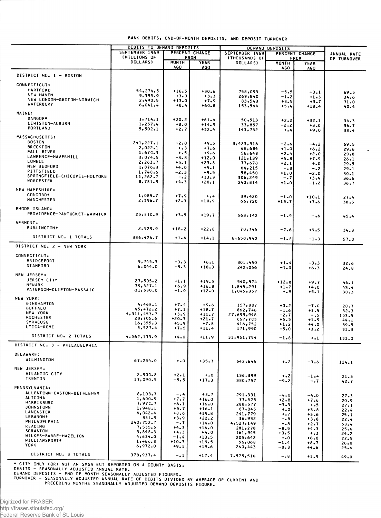|                                                  | DEBITS TO DEMAND DEPOSITS              |                     |                    | DEMAND DEPOSITS        |                            |                    |                  |
|--------------------------------------------------|----------------------------------------|---------------------|--------------------|------------------------|----------------------------|--------------------|------------------|
|                                                  | SEPTEMBER 1969                         |                     | PERCENT CHANGE     | SEPTEMBER 1969         |                            | PERCENT CHANGE     | ANNUAL RATE      |
|                                                  | <b><i>IMILLIONS OF</i></b><br>DOLLARS) |                     | FROM               | <b>(THOUSANDS OF</b>   |                            | FROM               | OF TURNOVER      |
|                                                  |                                        | <b>MONTH</b><br>AGO | YEAR<br>AGO        | DOLLARS)               | <b>MONTH</b><br><b>AGO</b> | <b>YEAR</b><br>AGO |                  |
|                                                  |                                        |                     |                    |                        |                            |                    |                  |
| DISTRICT NO. 1 - BOSTON                          |                                        |                     |                    |                        |                            |                    |                  |
| <b>CONNECTICUT:</b>                              |                                        |                     |                    |                        |                            |                    |                  |
| <b>HARTFORD</b>                                  | 54,274.5                               | $+16.5$             | $+30.6$            | 758,093                | $-5.5$                     | $-3.1$             | 69.5             |
| <b>NEW HAVEN</b>                                 | 9,395.9                                | $+3.3$              | $+3.3$             | 269,840                | $-1-2$                     | $+1.3$             | 34.6             |
| NEW LONDON-GROTON-NORWICH                        | 2,490.5                                | $+13.0$             | $+7.9$             | 83,543                 | $+8.5$                     | $+3.7$             | 31.0             |
| WATERBURY                                        | 6,041.4                                | $+8.4$              | $+60.8$            | 153,544                | $+5.4$                     | $+18.4$            | 40.4             |
| MAINE:                                           |                                        |                     |                    |                        |                            |                    |                  |
| BANGOR*                                          | 1,714.1                                | $+20.2$             | $+61.4$            |                        |                            |                    |                  |
| LEWISTON-AUBURN                                  | 1,257.4                                | $+8.0$              | $+14.9$            | 50,513<br>33,857       | $+2 - 2$<br>$-2 - 2$       | $+32.1$<br>$+3.0$  | 34.3             |
| PORTLAND                                         | 5,502.1                                | $+2.7$              | $+32.4$            | 143,732                | $+ - 4$                    | $+9.0$             | 36.7<br>38.4     |
|                                                  |                                        |                     |                    |                        |                            |                    |                  |
| <b>MASSACHUSETTS:</b><br><b>BOSTON</b>           |                                        |                     |                    |                        |                            |                    |                  |
| <b>BRCCKTON</b>                                  | 241, 227.1<br>2,022.1                  | $-2.0$              | $+9.5$             | 3,423,916              | $-2.6$                     | $-4.2$             | 69.5             |
| <b>FALL RIVER</b>                                | 1,670.3                                | $+ 3 3 $<br>$+ 5$   | $+7.6$<br>$+9.6$   | 68,684                 | $+1.0$                     | $+6.2$             | 29.6             |
| LAWRENCE-HAVERHILL                               | 3,074.5                                | $-3 - 8$            | $+12.0$            | 56,648<br>121,139      | $+2.4$<br>$+5.8$           | $+2.0$<br>$+7.9$   | 29.8             |
| LOWELL                                           | 2,263.7                                | $+5.1$              | $+23.8$            | 77,678                 | $+2.1$                     | $+0.0$             | $26 - 1$<br>29.5 |
| NEW BEDFORD                                      | 1,876.3                                | $+4.0$              | $+5.1$             | 64,215                 | $-0.8$                     | $-0.2$             | 29.1             |
| PITTSFIELD                                       | 1,748.6                                | $-2.3$              | $+9.5$             | 58,450                 | $+1.0$                     | $-2.0$             | 30.1             |
| SPRINGFIELD-CHICOPEE-HOLYOKE<br><b>WORCESTER</b> | 11,262.7                               | $-0.2$              | $+13.3$            | 306,249                | -. 7                       | $+3.4$             | 36.6             |
|                                                  | 8,781.9                                | $+4.3$              | $+20.1$            | 240,814                | $+1.0$                     | $-1.2$             | $36 - 7$         |
| <b>NEW HAMPSHIRE:</b>                            |                                        |                     |                    |                        |                            |                    |                  |
| CONCORD*                                         | 1,085.7                                | $+7.9$              | $+ 1.4$            | 39,420                 | $-1.0$                     | $+10.1$            |                  |
| <b>MANCHESTER</b>                                | 2,396.7                                | $+2.3$              | $+10.9$            | 66,720                 | $+15.7$                    | $+7.6$             | 27.4<br>38.5     |
|                                                  |                                        |                     |                    |                        |                            |                    |                  |
| RHODE ISLAND:                                    |                                        |                     |                    |                        |                            |                    |                  |
| PROVIDENCE-PANTUCKET-WARWICK                     | 25,810.9                               | $+3.5$              | $+19.7$            | 563,142                | $-1.9$                     | -.6                | 45.4             |
| <b>VERMONT:</b>                                  |                                        |                     |                    |                        |                            |                    |                  |
| BURLINGTON*                                      | 2,529.9                                | $+18.2$             | $+22.8$            | 70,745                 | -7.6                       |                    |                  |
|                                                  |                                        |                     |                    |                        |                            | $+9.5$             | 34.3             |
| DISTRICT NO. 1 TOTALS                            | 386,426.7                              | $+1.6$              | $+14.1$            | 6,650,942              | $-1 - 8$                   | $-1.3$             | 57.0             |
| DISTRICT NO. 2 - NEW YORK                        |                                        |                     |                    |                        |                            |                    |                  |
|                                                  |                                        |                     |                    |                        |                            |                    |                  |
| CONNECTICUT:                                     |                                        |                     |                    |                        |                            |                    |                  |
| <b>BRIDGEPORT</b>                                | 9,745.3                                | $+3.3$              | $+6.1$             | 301,450                | $+1.4$                     | $-3.3$             | 32.6             |
| <b>STAMFORD</b>                                  | 6,044.0                                | $-5.3$              | $+18.3$            | 242,056                | $-1.0$                     | $+6.3$             | $24 - 8$         |
| NEW JERSEY:                                      |                                        |                     |                    |                        |                            |                    |                  |
| JERSEY CITY                                      |                                        |                     |                    |                        |                            |                    |                  |
| <b>NEWARK</b>                                    | 23,505.2<br>79,327.1                   | $+1.1$<br>$+6.9$    | $+19.5$            | 540,574                | $+12.8$                    | $+9.7$             | 46.1             |
| PATERSCN-CLIFTON-PASSAIC                         | 31,530.0                               | $-1 - 0$            | $+16.8$<br>$+12.0$ | 1,845,291<br>1,045,357 | $+1.7$                     | $+4.0$             | 43.4             |
|                                                  |                                        |                     |                    |                        | $+ 0.9$                    | $+5.1$             | 30.3             |
| NEW YORK:                                        |                                        |                     |                    |                        |                            |                    |                  |
| <b>BINGHAMTON</b><br><b>BUFFALO</b>              | 4,468.1                                | $+7.4$              | $+9.6$             | 157,887                | $+3.2$                     | $-7.0$             | 28.7             |
| NEW YORK                                         | 45,472.2                               | $+7.1$              | $+18.7$            | 862,746                | $-1.6$                     | $+1.5$             | 52.3             |
| <b>ROCHESTER</b>                                 | 4,311,453.7<br>28,705.6                | $+3.9$<br>$+20.3$   | $+11.7$<br>$+21.7$ | 27,699,948             | $-2.7$                     | $-0.5$             | 153.5            |
| <b>SYRACUSE</b>                                  | 16, 355.3                              | $+5.9$              | $+7.8$             | 667,703<br>416,752     | $+5.5$<br>$+1.2$           | $+1.9$<br>$+4.0$   | 44.1             |
| UTICA-ROME                                       | 5,527.4                                | $+7.5$              | $+11.4$            | 171,990                | -5.0                       | $+3.2$             | 39.5<br>31.3     |
|                                                  |                                        |                     |                    |                        |                            |                    |                  |
| DISTRICT NO. 2 TOTALS                            | 4,562,133.9                            | $+4.0$              | $+11.9$            | 33,951,754             | $-1.8$                     | $+1$               | 133.0            |
| DISTRICT NO. 3 - PHILADELPHIA                    |                                        |                     |                    |                        |                            |                    |                  |
|                                                  |                                        |                     |                    |                        |                            |                    |                  |
| <b>DELAWARE:</b>                                 |                                        |                     |                    |                        |                            |                    |                  |
| WILMINGTON                                       | 67,234.0                               | $+ 0.0$             | $+35.7$            | 542,646                | $+ - 2$                    | $-3.6$             | 124.1            |
| NEW JERSEY:                                      |                                        |                     |                    |                        |                            |                    |                  |
| ATLANTIC CITY                                    | 2,900.8                                | $+2.1$              |                    |                        |                            |                    |                  |
| TRENTON                                          | 17,090.5                               | -5.5                | $+0.0$<br>$+17.3$  | 136,399<br>380,757     | $+ 0.2$                    | $-1.4$             | $21 - 3$         |
|                                                  |                                        |                     |                    |                        | $-9.2$                     | $-0.7$             | 42.7             |
| <b>PENNSYLVANIA:</b>                             |                                        |                     |                    |                        |                            |                    |                  |
| ALLENTOWN-EASTON-BETHLEHEM                       | 8,108.7                                | $-0.4$              | $+8.7$             | 291,331                | $-4.0$                     | $-4.0$             | 27.3             |
| AL TOONA<br>HARRISBURG                           | 1,600.9                                | $+7.7$              | $+16.0$            | 77,525                 | $+2.8$                     | $+7.6$             | 20.9             |
| <b>JOHNSTOWN</b>                                 | 7,97C.7                                | $+6.1$              | $+16.0$            | 288,577                | $-3.3$                     | $+ 0.5$            | 27.1             |
| LANCASTER                                        | 1,948.1<br>6,042.4                     | $+5.7$<br>$+8.6$    | $+16.1$<br>$+19.8$ | 87,045                 | $\ddotsc$                  | $+3.8$             | 22.4             |
| LEBANON*                                         | 831.9                                  | $+3.9$              | $+22.2$            | 241,779<br>36,932      | $+ - 7$<br>-.8             | $+3.6$<br>$+3.8$   | 25.1             |
| PHILADELPHIA                                     | 240,752.7                              | $-0.7$              | $+14.0$            | 4,527,149              | $8. +$                     | $+2 - 7$           | 22.4<br>53.4     |
| READING                                          | 7,535.5                                | $+4.3$              | $+16.0$            | 281,278                | $-8.5$                     | $+4.3$             | 25.6             |
| <b>SCRANTON</b>                                  | 3,848.3                                | $+4.3$              | $+4.0$             | 161,945                | $+3.5$                     | $+ 3$              | 24.2             |
| WILKES-BARRE-HAZELTON<br>WILLIAMSPORT*           | 4,634.0                                | $-1.4$              | $+13.5$            | 205,642                | $+ - 0$                    | $+6.0$             | 22.5             |
| <b>YORK</b>                                      | 1,466.8<br>6,972.0                     | $+10.3$<br>$+9.1$   | $+19.5$            | 56,068                 | $-1.4$                     | $+8.7$             | $26 - 0$         |
|                                                  |                                        |                     | $+19.6$            | 260,443                | -8.3                       | $+4.6$             | 25.6             |
| DISTRICT NO. 3 TOTALS                            | 378,937.4                              | $-1$                | $+17.4$            | 7,575,516              | $-0.8$                     | $+1.9$             | 49.0             |

BANK DEBITS, END-OF-MONTH DEPOSITS, AND DEPOSIT TURNOVER

\* CITY ONLY (OR) NOT AN SMSA BUT REPORTED ON A CCUNTY BASIS.<br>DEBITS - SEASONALLY ADJUSTED ANNUAL RATE.<br>DEMAND DEPOSITS - END OF MONTH SEASONALLY ADJUSTED FIGURES.<br>TURNOVER - SEASONALLY ADJUSTED ANNUAL RATE OF DEBITS DIVIDE

 $\blacksquare$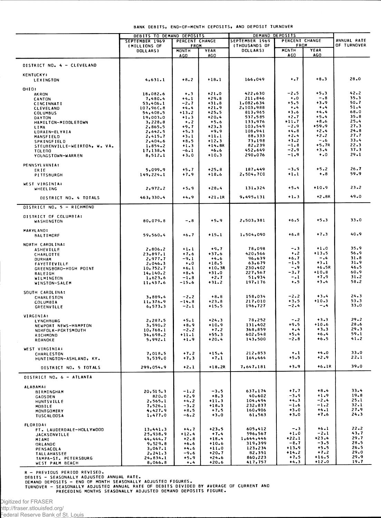|                                                 | <b>DEBITS TO DEMAND DEPOSITS</b> |                      |                       | DEMAND DEPOSITS           |                      |                   |              |
|-------------------------------------------------|----------------------------------|----------------------|-----------------------|---------------------------|----------------------|-------------------|--------------|
|                                                 | SEPTEMBER 1969<br>PERCENT CHANGE |                      | <b>SEPTEMBER 1969</b> | PERCENT CHANGE            |                      | ANNUAL RATE       |              |
|                                                 | (MILLIONS OF<br><b>DOLLARS)</b>  | <b>FROM</b><br>MONTH | YEAR                  | (THOUSANDS OF<br>DOLLARS) | FROM<br><b>MCNTH</b> | YEAR              | OF TURNOVER  |
|                                                 |                                  | AGO                  | <b>AGO</b>            |                           | <b>AGO</b>           | AGO               |              |
| DISTRICT NO. 4 - CLEVELAND                      |                                  |                      |                       |                           |                      |                   |              |
| <b>KENTUCKY:</b><br>LEXINGTON                   | 4,631.1                          | $+8.2$               | $+18.1$               | 166,049                   | $\ddotsc$            | $+8.3$            | 28.0         |
| OHIO:                                           |                                  |                      |                       |                           |                      |                   |              |
| <b>AKRON</b>                                    | 18,082.6                         | $+ 3$                | $+21.0$               | 422,630                   | -2.5                 | $+5.3$            | 42.2         |
| CANTON                                          | 7,480.4<br>53,406.1              | $+4.1$<br>$-2.7$     | $+29.8$<br>$+31.8$    | 211,846<br>1,082,634      | $\ddotsc$<br>$+5.5$  | $-0.8$<br>$+3.9$  | 35.3<br>50.7 |
| <b>CINCINNATI</b><br><b>CLEVELAND</b>           | 107,960.8                        | $+4.4$               | +21.9                 | 2,103,988                 | $+ 1.4$              | $\dots$           | 51.4         |
| <b>COLUMBUS</b>                                 | 54,408.5                         | $+13.2$              | $+25.5$               | 813,965                   | $+3.6$               | $+4.4$            | 68.0         |
| DAYTON                                          | 19,003.0                         | $+1.3$               | $+20.4$               | 537,585                   | $+2 - 7$<br>$+11.7$  | $+5.4$<br>$+8.6$  | 35.8<br>25.4 |
| HAMILTON-MIDDLETOWN<br>LIMA                     | 3,228.8<br>2,865.5               | $+ 0.2$<br>$+9.7$    | $+5.6$<br>$+23.3$     | 133,976<br>103,549        | $-2.9$               | +59.9             | 27.3         |
| LORAIN-ELYRIA                                   | 2,642.5                          | $+5.3$               | $+9.9$                | 108,941                   | $+4.8$               | $+2.4$            | 24.8         |
| MANSFIELD                                       | 2,415.7                          | $+3.1$               | $+11.1$               | 88,333                    | $+2.4$               | $+2.2$            | 27.7         |
| <b>SPRINGFIELD</b>                              | 2,404.6                          | $+8.5$               | $+12.3$               | 73,198                    | $+3.2$<br>$-1.8$     | $-0.6$<br>$+5.7R$ | 33.4<br>22.3 |
| STEUBENVILLE-WEIRTON, W. VA.<br>TOLEDO          | 1,854.2<br>17,138.4              | $+1.3$<br>-6.1       | $+14.8R$<br>$+6.6$    | 82,239<br>452,649         | $-2.9$               | $+3.4$            | 37.3         |
| YOUNGSTOWN-WARREN                               | 8,512.1                          | $+3.0$               | $+10.3$               | 290,076                   | $-1.9$               | $\ddotsc$         | 29.1         |
|                                                 |                                  |                      |                       |                           |                      |                   |              |
| PENNSYLVANIA:<br>ER I E                         | 5,099.9                          | $+5.7$               | $+25.8$               | 187,449                   | $-3.9$               | $+5.2$            | 26.7         |
| <b>PITTSBURGH</b>                               | 149, 224.1                       | $+7.9$               | $+18.6$               | 2,504,700                 | $+1.1$               | $^{+.8}$          | 59.9         |
| WEST VIRGINIA:                                  |                                  | $+5.9$               | $+28.4$               | 131,324                   | $+5.4$               | $+10.9$           | $23 - 2$     |
| <b>WHEELING</b>                                 | 2,972.2                          |                      | $+21.1R$              | 9,495,131                 | $+1.3$               | $+2.8R$           | 49.0         |
| DISTRICT NO. 4 TOTALS                           | 463,330.4                        | $+4.9$               |                       |                           |                      |                   |              |
| DISTRICT NO. 5 - RICHMOND                       |                                  |                      |                       |                           |                      |                   |              |
| DISTRICT OF COLUMBIA:<br>WASHINGTON             | 80,079.8                         | $-0.8$               | $+5.9$                | 2,503,381                 | $+6.5$               | $+5.3$            | 33.0         |
| MARYLAND:<br><b>BALTIMORF</b>                   | 59,560.4                         | +6.7                 | $+15.1$               | 1,504,090                 | $+6.8$               | $+7.3$            | 40.9         |
| NORTH CAROLINA:                                 |                                  |                      |                       |                           |                      |                   |              |
| <b>ASHEVILLE</b>                                | 2,806.2                          | $+1.1$               | $+9.7$                | 78,098                    | $-0.3$               | $+1.0$            | 35.9<br>56.9 |
| CHARLOTTE                                       | 23,897.1<br>2,977.7              | $+7.6$<br>$-9.1$     | $+37.6$<br>$+4.6$     | 420,566<br>96,639         | $+ 0.2$<br>+6.7      | $+13.5$<br>$-0.4$ | 31.8         |
| <b>DURHAM</b><br><b>FAYETTEVILLE</b>            | 2,046.3                          | $+0$                 | $+18.5$               | 63,679                    | -1.5                 | $+3.1$            | 31.9         |
| GREENSBORO-HIGH POINT                           | 10,752.7                         | $+6.1$               | $+10-3R$              | 230,402                   | -.9                  | $+6.5R$           | 46.5         |
| RALEIGH                                         | 14, 140.2                        | $+8.4$               | $+31.0$               | 227,567                   | -3.7                 | $+10.8$<br>$+7.9$ | 60.9<br>31.2 |
| WILMINGTON<br>WINSTON-SALEM                     | 1,623.6<br>11,437.6              | $-1.8$<br>-15.6      | $+2.7$<br>$+31.2$     | 51,934<br>197,176         | -.1<br>$+ 5$         | $+3.4$            | 58.2         |
|                                                 |                                  |                      |                       |                           |                      |                   |              |
| SOUTH CAROLINA:<br><b>CHARLESTON</b>            | 3,889.4                          | $-2.2$               | $+8.8$                | 158,034                   | $-2.2$               | $+3.4$            | $24 - 3$     |
| COLUMBIA                                        | 11,376.9                         | $-14.8$              | $+23.8$               | 217,010                   | $+3.5$               | $+10.3$           | 53.3         |
| <b>GREENVILLE</b>                               | 6, 573.3                         | $-2.1$               | $+15.5$               | 196,727                   | $-2.4$               | -.4               | 33.0         |
| VIRGINIA:                                       |                                  |                      |                       |                           |                      |                   |              |
| LYNCHBURG                                       | 2,287.5                          | $+5.1$               | $+24.3$               | 78,252                    | $-0.2$               | $+3.3$            | 29.2<br>28.6 |
| NEWPORT NEWS-HAMPTON<br>NORFOLK-PORTSMOUTH      | 3,590.2<br>10,768.1              | $+8.9$<br>$-2.2$     | $+10.9$<br>$+7.2$     | 131,402<br>368,859        | $+9.5$<br>$+ - 4$    | $+10.6$<br>$+3.3$ | 29.3         |
| RICHMOND                                        | 34,698.2                         | $+11.1$              | $+55.3$               | 602,548                   | $+5.4$               | $+6.4$            | 59.1         |
| <b>ROANOKE</b>                                  | 5,992.1                          | $+1.9$               | $+20.4$               | 143,500                   | $-2 - 8$             | $+6.5$            | 41.2         |
| WEST VIRGINIA:                                  |                                  |                      |                       |                           |                      |                   |              |
| CHARLESTON                                      | 7,018.5                          | $+7.2$               | $+15.4$               | 212,853                   | $+ - 1$              | $+4.0$            | 33.0         |
| HUNTINGTON-ASHLAND, KY.                         | 3,539.0                          | $+7.3$               | $+7.1$                | 164,464                   | $+5.5$               | $+2.9$            | 22.1         |
| DISTRICT NO. 5 TOTALS                           | 299,054.9                        | $+2.1$               | $+18.2R$              | 7,647,181                 | $+3.9$               | $+6.1R$           | 39.0         |
| DISTRICT NO. 6 - ATLANTA                        |                                  |                      |                       |                           |                      |                   |              |
| <b>ALABAMA:</b>                                 |                                  |                      |                       |                           | $+7.7$               | $+8.4$            | 33.4         |
| BIRMINGHAM<br>GADSDEN                           | 20, 515.3<br>820.0               | $-1.2$<br>$+2.9$     | $-3.5$<br>$+8.3$      | 637,174<br>40,602         | $-3.9$               | $+1.9$            | 19.8         |
| HUNTSVILLE                                      | 2,565.1                          | $+4.2$               | $+11.3$               | 104,494                   | $+4.3$               | $-2.4$            | 25.1         |
| MOBILE                                          | 7, 526.1                         | $-3.2$               | $+18.3$               | 232,837                   | $-1.6$               | $-1.2$            | 32.1         |
| MONTGOMERY<br><b>TUSCALOOSA</b>                 | 4,427.9<br>1,477.0               | $+8.5$<br>$-6.2$     | $+7.5$<br>$+3.0$      | 160,906<br>61,563         | $+3.0$<br>$+3.0$     | $+4.1$<br>$+7.6$  | 27.9<br>24.3 |
|                                                 |                                  |                      |                       |                           |                      |                   |              |
| FLORIDA:                                        | 13,441.3                         | $+4.7$               | $+23.5$               | 605,412                   | $-0.3$               | $+6.1$            | $22 - 2$     |
| FT. LAUDERDALE-HOLLYWOOD<br><b>JACKSONVILLE</b> | 25,938.9                         | $+12.4$              | $+7.4$                | 596,567                   | $+1.0$               | $-2.1$            | 43.7         |
| MIAMI                                           | 44, 444.7                        | $+2.8$               | $+18.4$               | 1,644,446                 | $+22.1$              | $+23.4$           | 29.7         |
| ORLANDO                                         | 9,529.8                          | $+6.6$<br>$+4.6$     | $+10.6$<br>$+11.0$    | 319,399<br>123,234        | $-8.7$<br>$+13.9$    | $-3.5$<br>$+5.5$  | 28.5<br>26.5 |
| PENSACOLA<br><b>TALLAHASSEE</b>                 | 3,067.1<br>2, 241.3              | -9.6                 | $+20.7$               | 82,351                    | $+14.2$              | $+7.2$            | 29.0         |
| TAMPA-ST. PETERSBURG                            | 24,834.1                         | $+5.9$               | $+24.6$               | 860,223                   | $+7.5$               | $+16.5$           | 29.9         |
| WEST PALM BEACH                                 | 8,066.8                          | $+ - 4$              | $+20.6$               | 417,757                   | $+4.3$               | $+12.0$           | 19.7         |

R – PREVIOUS PERIOD REVISED.<br>DEBITS – SEASONALLY ADJUSTED ANNUAL RATE.<br>DEMAND DEPOSITS – END OF MONTH SEASONALLY ADJUSTED FIGURES.<br>TURNOVER – SEASONALLY ADJUSTED ANNUAL RATE OF DEBITS DIVIDED BY AVERAGE OF CURRENT AND<br>PREC

Digitized for FRASER

http://fraser.stlouisfed.org/

Federal Reserve Bank of St. Louis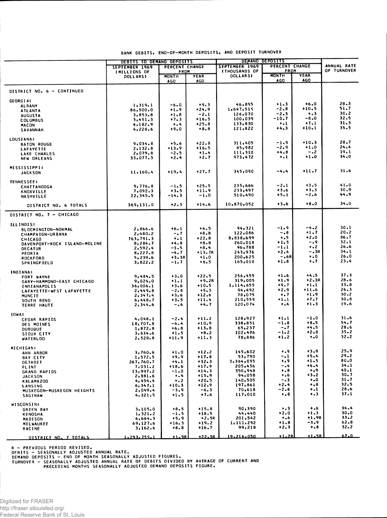|                                                | <b>DEBITS TO DEMAND DEPOSITS</b> |                      |                    | DEMAND DEPOSITS                         |                      |                           |                    |
|------------------------------------------------|----------------------------------|----------------------|--------------------|-----------------------------------------|----------------------|---------------------------|--------------------|
|                                                | SEPTEMBER 1969                   | PERCENT CHANGE       |                    | SEPTEMBER 1969                          | PERCENT CHANGE       |                           | ANNUAL RATE        |
|                                                | (MILLIONS OF<br><b>DOLLARS)</b>  | FROM<br><b>MONTH</b> | YEAR               | <b>(THOUSANDS OF</b><br><b>DOLLARSI</b> | FROM<br><b>MONTH</b> | YEAR                      | <b>OF TURNOVER</b> |
|                                                |                                  | AGO                  | AGO                |                                         | AGO                  | AGO                       |                    |
| DISTRICT NO. 6 - CONTINUED                     |                                  |                      |                    |                                         |                      |                           |                    |
| <b>GEORGIA:</b>                                |                                  |                      |                    |                                         |                      |                           |                    |
| <b>ALBANY</b>                                  | 1,319.1                          | $-6.0$               | $+9.3$             | 46,895                                  | $+1.3$               | $+6.0$<br>$+10.5$         | 28.3<br>51.7       |
| <b>ATLANTA</b>                                 | 86,500.0                         | $+1.9$               | $+24.9$            | 1,647,519<br>126,070                    | $-2.8$<br>$-2.3$     | $+ 3 3 $                  | $30 - 2$           |
| <b>AUGUSTA</b>                                 | 3,853.8                          | $+1.8$<br>$+7.3$     | $-2.1$<br>$+16.5$  | 100,039                                 | -10.7                | $-8.0$                    | 32.5               |
| <b>COLUMBUS</b>                                | 3,451.3<br>4,182.9               | $+ .4$               | $+25.8$            | 133,830                                 | $\ddotsc$            | $+7.1$                    | 31.3               |
| <b>MACON</b><br>SAVANNAH                       | 4,228.6                          | $+9.0$               | $+8.8$             | 121,822                                 | +4.3                 | $+10.1$                   | 35.5               |
| <b>LOUSIANA:</b>                               |                                  |                      |                    |                                         |                      |                           |                    |
| <b>BATON ROUGE</b>                             | 9,034.8                          | $+5.6$               | $+22.8$            | 311,405                                 | $-1.9$               | $+10.3$                   | 28.7<br>$24 - 4$   |
| <b>LAFAYETTE</b>                               | 2,132.8                          | $+13.9$              | $+16.5$            | 85,982                                  | $-2.9$<br>$+4.8$     | $+1.0$<br>$-0.2$          | 19.1               |
| LAKE CHARLES<br><b>NEW ORLEANS</b>             | 2,079.8<br>33,077.3              | $-2.5$<br>$+2.4$     | $+1.4$<br>$+2.7$   | 111,310<br>973,472                      | $\ddotsc$            | $+1.0$                    | 34.0               |
| <b>MISSISSIPPI:</b>                            |                                  |                      |                    |                                         |                      |                           |                    |
| <b>JACKSON</b>                                 | 11,160.4                         | $+19.4$              | $+27.7$            | 345,090                                 | -4.4                 | $+11.7$                   | 31.6               |
| <b>TENNESSEE:</b>                              |                                  |                      |                    |                                         |                      |                           |                    |
| <b>CHATTANOOGA</b>                             | 9,776.8                          | $-1.5$               | $+25.5$            | 235,666                                 | $-2.1$               | $+3.5$                    | 41.0               |
| <b>KNOXVILLE</b>                               | 7,092.3                          | $+3.5$               | $+11.9$            | 233,497                                 | $+3.6$               | $+3.3$                    | 30.9               |
| <b>NASHVILLE</b>                               | 22,345.5                         | $-14.3$              | $-1.0$             | 510,490                                 | +5.1                 | $-2.6$                    | 44.9               |
| DISTRICT NO. 6 TOTALS                          | 369,131.0                        | $+2.3$               | $+14.6$            | 10,870,052                              | $+3.6$               | $+8.0$                    | 34.0               |
| <b>DISTRICT NO. 7 - CHICAGO</b>                |                                  |                      |                    |                                         |                      |                           |                    |
| ILLINOIS:                                      |                                  |                      |                    |                                         |                      |                           |                    |
| BLOCMINGTON-NORMAL                             | 2,866.6                          | $+6.1$               | $+4.5$             | 94,321                                  | -1.9                 | $-4.2$<br>$+1.7$          | 30.1<br>$20 - 2$   |
| <b>CHAMPAIGN-URBANA</b>                        | 2,480.2                          | -. 7                 | $+8.8$             | 122,086<br>8,838,699                    | - . 8<br>$+ 0.5$     | $+2.0$                    | $86 - 7$           |
| <b>CHICAGO</b>                                 | 763,791.3<br>8,284.7             | $\ddotsc$<br>$+4.8$  | +22.8<br>$+8.8$    | 260,018                                 | $+1.5$               | -.9                       | 32.1               |
| DAVENPORT-ROCK ISLAND-MOLINE<br><b>DECATUR</b> | 2,592.4                          | -3.5                 | $+8.4$             | 96,788                                  | $-1.1$               | $\ddotsc$                 | 26.6               |
| PEORIA                                         | 8,227.8                          | -4.7                 | +13.7R             | 243,976                                 | $+2.4$               | $-.3R$                    | $34 - 1$           |
| <b>ROCKFORD</b>                                | 5,239.6                          | +3.3R                | $+1.0$             | 200,625                                 | $-.6R$               | $+ 0.0$                   | 26.0               |
| <b>SPRINGFIELD</b>                             | 3,822.2                          | -1.7                 | $+6.5$             | 165,010                                 | $+1.8$               | $\ddotsc$                 | $23 - 4$           |
| <b>INDIANA:</b>                                |                                  |                      |                    |                                         |                      |                           | 37.3               |
| FORT WAYNE                                     | 9,484.5                          | $+3.0$               | $+22.5$            | 256,455                                 | $+1.6$<br>$+1.9$     | $+4.5$<br>$+2.3R$         | 28.6               |
| GARY-HAMMOND-EAST CHICAGO                      | 9,024.0                          | $+1.1$               | $+9.2R$<br>$+10.5$ | 319,005<br>1,114,655                    | $+9.7$               | $+1.1$                    | 33.8               |
| <b>INDIANAPOLIS</b>                            | 36,006.1<br>2,449.8              | $+3.6$<br>$-2 - 8$   | $+5.3$             | 94,492                                  | $+2.9$               | $+11.6$                   | $26 - 3$           |
| LAFAYETTE-WEST LAFAYETTE<br><b>MUNCIE</b>      | 2,347.4                          | $+3.6$               | $+12.6$            | 78,075                                  | $+ - 7$              | $+1.9$                    | $30 - 2$           |
| SOUTH BEND                                     | 6,448.7                          | $+3.5$               | $+11.4$            | 210,559                                 | $+1.1$               | $+7.7$                    | $30 - 8$           |
| TERRE HAUTE                                    | 2,344.6                          | - - 6                | +4.7               | 120,074                                 | $^{+.4}$             | $+1.3$                    | 19.6               |
| IOWA:                                          |                                  |                      |                    |                                         |                      |                           |                    |
| <b>CEDAR RAPIDS</b>                            | 4,048.1                          | $-2 - 4$             | $+11.2$            | 128,927                                 | $+1.1$<br>$-1.8$     | $-1.0$<br>$+8.5$          | 31.6<br>54.7       |
| DES MOINES                                     | 18,707.8                         | $-6.4$<br>$+6.8$     | $+10.9$<br>$+13.8$ | 338,851<br>65,237                       | $-0.7$               | $+4.5$                    | 28.6               |
| <b>DUBUQUE</b>                                 | 1,872.8<br>3,634.6               | $+1.5$               | $+8.2$             | 102,486                                 | -1.2                 | $+2 - 8$                  | $35 - 2$           |
| SIOUX CITY<br><b>WATERLOO</b>                  | 2,528.8                          | $+11.9$              | $+11.3$            | 78,886                                  | $+1.2$               | $+0$                      | $32 - 2$           |
| MICHIGAN:                                      |                                  |                      |                    |                                         |                      |                           |                    |
| ANN ARBOR                                      | 3,760.6                          | $+1.0$               | $+12.2$            | 145,602                                 | $\dots$              | $+3.9$                    | 25.9               |
| <b>BAY CITY</b>                                | 1,572.5                          | $+9.9$               | $+17.8$            | 53,790                                  | -. 1                 | $+5.4$                    | 29.2<br>80.0       |
| DETROIT                                        | 267,760.7                        | $+4.1$               | $+32.3$<br>$+17.9$ | 3,364,095<br>205,456                    | $\ddotsc$<br>- - 4   | $+1.5$<br>$+4.4$          | 34.1               |
| FLINI<br>GRAND RAPIDS                          | 7,031.2<br>13,997.2              | +18.6<br>$-1.0$      | $+14.3$            | 350,948                                 | $+ 8$                | $+ -9$                    | 40.1               |
| <b>JACKSON</b>                                 | 2,881.6                          | $\ddotsc$            | $+15.9$            | 94,058                                  | $\ddotsc$            | $+3 - 2$                  | 30.7               |
| <b>KALAMAZOO</b>                               | 4,454.4                          | $+ 2$                | $+20.5$            | 140,505                                 | $-0.3$               | $\ddotsc$                 | $31 - 7$           |
| LANSING                                        | 6,347.1                          | $+10.3$              | $+12.9$            | 197,861                                 | $+2.4$               | $+ - 8$                   | 32.5               |
| MUSKEGON-MUSKEGON HEIGHTS<br><b>SAGINAW</b>    | 2,049.4<br>4,321.5               | $-3.9$<br>$+1.5$     | $-6.3$<br>$+7.6$   | 70,618<br>117,010                       | -2.8<br>$+ 8$        | $\ddotsc$<br>$\bullet$ .3 | 28.6<br>37.1       |
|                                                |                                  |                      |                    |                                         |                      |                           |                    |
| <b>WISCONSIN:</b><br><b>GREEN BAY</b>          | 3,105.0                          | $+8.5$               | $+15.8$            | 90,390                                  | $\ddotsc$            | $+ .6$                    | 34.4               |
| <b>KENOSHA</b>                                 | 1, 321.2                         | $-1.5$               | $+18.5$            | 44,440                                  | $+2.0$               | $+1.3$                    | $30 - 0$           |
| <b>MADISON</b>                                 | 6,664.3                          | $+5.9$               | +2.5R              | 201,542                                 | $+ 0.6$              | $+1.9R$                   | $33 - 2$           |
| MILWAUKEE                                      | 69,127.6                         | $+16.3$              | $+19.2$            | 1,111,292                               | $+1.8$               | $-3.9$<br>$+ - 8$         | 62.8<br>32.2       |
| <b>RACINE</b>                                  | 3,162.6                          | $+8.8$               | $+16.7$            | 99,218                                  | $+2.3$               |                           |                    |
| DISTRICT NO. 7 TOTALS                          | 1.293.755.1                      | $+1.9R$              | $+22.5R$           | 19.216.050                              | $+1.2R$              | $+1.5R$                   | 67.0               |

## BANK DEBITS, END-OF-MONTH DEPOSITS, AND DEPOSIT TURNOVER

R – PREVIOUS PERIOD REVISED.<br>DEBITS – SEASONALLY ADJUSTED ANNUAL RATE.<br>DEMAND DEPOSITS – END OF MONTH SEASONALLY ADJUSTED FIGURES.<br>TURNOVER – SEASONALLY ADJUSTED ANNUAL RATE OF DEBITS DIVIDED BY AVERAGE OF CURRENT AND<br>PREC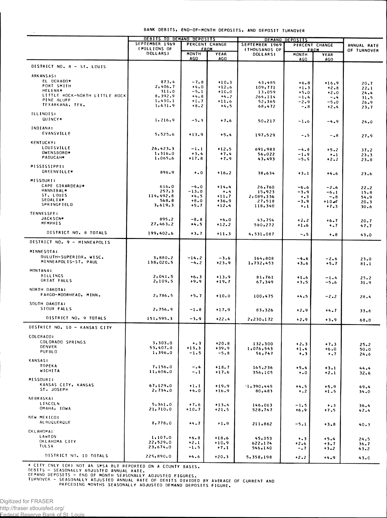BANK DEBITS, END-OF-MONTH DEPOSITS, AND DEPOSIT TURNOVER

|                                                 | DEBITS TO DEMAND DEPOSITS      |                   |                     | DEMAND DEPOSITS                  |                    |                     |              |
|-------------------------------------------------|--------------------------------|-------------------|---------------------|----------------------------------|--------------------|---------------------|--------------|
|                                                 | SEPTEMBER 1969<br>(MILLIONS OF |                   | PERCENT CHANGE      | SEPTEMBER 1969<br>PERCENT CHANGE |                    |                     | ANNUAL RATE  |
|                                                 | DOLLARS)                       | <b>MONTH</b>      | <u>FROM</u><br>YEAR | <b>(THOUSANDS OF</b><br>DOLLARS) | MONTH              | <u>FROM</u><br>YEAR | OF TURNOVER  |
|                                                 |                                | <b>AGO</b>        | AGO                 |                                  | <b>AGO</b>         | AGO.                |              |
| DISTRICT NO. 8 - ST. LOUIS                      |                                |                   |                     |                                  |                    |                     |              |
| <b>ARKANSAS:</b>                                |                                |                   |                     |                                  |                    |                     |              |
| EL DORADO*                                      | 873.4                          | $-7.8$            | $+10.3$             | 43,485                           | $+6.8$             | $+16.9$             | 20.7         |
| FORT SMITH                                      | 2,406.7                        | $+4.0$            | $+12.6$             | 109,771                          | $+1.3$             | $+2.8$              | $22 - 1$     |
| <b>HELENA*</b><br>LITTLE ROCK-NORTH LITTLE ROCK | 311.0<br>8,392.9               | $-5.1$<br>$+4.8$  | $+10.0$<br>$+4.2$   | 13,059<br>264,114                | $+5.0$             | $+2.0$              | 24.4         |
| PINE BLUFF                                      | 1,430.1                        | $+1.7$            | $+11.6$             | 52,365                           | $-1.4$<br>$-2.9$   | $-0.4$<br>$-5.0$    | 31.5<br>26.9 |
| TEXARKANA, TEX.                                 | 1,631.9                        | $+8.2$            | $+4.5$              | 68,472                           | $-0.8$             | $+2.4$              | 23.7         |
| <b>ILLINOIS:</b>                                |                                |                   |                     |                                  |                    |                     |              |
| QUINCY*                                         | 1,216.9                        | $-5.3$            | $+7.6$              | 50,217                           | $-1.6$             | $-4.9$              | 24.0         |
| INDIANA:                                        |                                |                   |                     |                                  |                    |                     |              |
| <b>EVANSVILLE</b>                               | 5,525.6                        | $+13.9$           | $+5.4$              | 197,529                          | -.5                | $-0.8$              | 27.9         |
| <b>KENTUCKY:</b>                                |                                |                   |                     |                                  |                    |                     |              |
| LOUISVILLE                                      | 26,423.3                       | -1.1              | $+12.5$             | 691,983                          | $-4.8$             | $+5.2$              | 37.2         |
| OWENSBORO*                                      | 1,316.0                        | $+3.4$            | $+7.4$              | 56,022                           | -1.9               | $+ -1$              | 23.3         |
| PADUCAH*                                        | 1,065.6                        | $+17.8$           | $+7.9$              | 43,493                           | $-5.9$             | $+2 - 2$            | 23.8         |
| MISSISSIPPI:                                    |                                |                   |                     |                                  |                    |                     |              |
| <b>GREENVILLE*</b>                              | 896.9                          | $+ 0.0$           | $+16.2$             | 38,634                           | $+3.1$             | $+4.6$              | 23.6         |
| MISSOURI:                                       |                                |                   |                     |                                  |                    |                     |              |
| CAPE GIRARDEAU*                                 | 616.0                          | $-4.0$            | $+14.4$             | 26,760                           | -6.6               | $-2.6$              | 22.2         |
| HANNIBAL*<br>ST. LOUIS                          | 257.3<br>114,492.8             | $-13.0$<br>$+4.5$ | $+ 1.4$<br>$+11.7$  | 15,923<br>2,089,336              | -3.9               | $-6 - 1$            | 15.8         |
| SEDALIA*                                        | 568.8                          | $+8.0$            | $+36.9$             | 27,518                           | $+ 3$<br>-3.9      | $-0.8$<br>$+10 - 7$ | 54.9<br>20.3 |
| SPRINGFIELD                                     | 3,619.3                        | $+5.7$            | $+12.4$             | 118,340                          | $\ddotsc$          | $+7.3$              | 30.6         |
| TENNESSEE:                                      |                                |                   |                     |                                  |                    |                     |              |
| JACKSCN*<br><b>MEMPHIS</b>                      | 895.2                          | $-8.8$            | $+6.0$              | 43,754                           | $+2.2$             | $+6.7$              | 20.7         |
|                                                 | 27,463.2                       | $+4.5$            | $+12.2$             | 580,272                          | $+1.6$             | $\ddots$            | 47.7         |
| DISTRICT NO. 8 TOTALS                           | 199,402.6                      | $+3.7$            | $+11.3$             | 4,531,087                        | $-0.5$             | $+ - 8$             | 43.0         |
| DISTRICT NO. 9 - MINNEAPOLIS                    |                                |                   |                     |                                  |                    |                     |              |
| MINNESOTA:                                      |                                |                   |                     |                                  |                    |                     |              |
| DULUTH-SUPERIOR, WISC.                          | 3,880.2                        | $-14.2$           | $-3.6$              |                                  |                    |                     |              |
| MINNEAPOLIS-ST. PAUL                            | 138,020.5                      | $-4.2$            | $+23.9$             | 164,808<br>1,732,453             | $-4.6$<br>$+3.6$   | $-2.6$<br>+5.7      | 23.0<br>81.1 |
| <b>MONTANA:</b>                                 |                                |                   |                     |                                  |                    |                     |              |
| <b>BILLINGS</b>                                 | 2,041.5                        | $+6.3$            | $+13.9$             | 81,761                           | $+1.6$             | $-1.4$              | 25.2         |
| GREAT FALLS                                     | 2,109.5                        | $+9.9$            | $+19.7$             | 67,349                           | $+3.5$             | -5.6                | 31.9         |
| NORTH DAKOTA:                                   |                                |                   |                     |                                  |                    |                     |              |
| FARGO-MOORHEAD, MINN.                           | 2,786.5                        | +5.7              | $+10.0$             | 100,475                          | $+4.5$             | $-2-2$              | 28.4         |
| SOUTH DAKOTA:                                   |                                |                   |                     |                                  |                    |                     |              |
| SIOUX FALLS                                     | 2,756.9                        | $-1.8$            | $+17.9$             | 83,326                           | $+2.9$             | $+4.7$              | 33.6         |
| DISTRICT NO. 9 TOTALS                           | 151,595.3                      | $-3.9$            | $+22.4$             | 2,230,172                        |                    |                     |              |
|                                                 |                                |                   |                     |                                  | $+2.9$             | $+3.9$              | 68.0         |
| DISTRICT NO. 10 - KANSAS CITY                   |                                |                   |                     |                                  |                    |                     |              |
| COLORADO:                                       |                                |                   |                     |                                  |                    |                     |              |
| COLORADO SPRINGS<br>DENVER                      | 3,303.0                        | $+ 3 3 $          | $+20.8$             | 132,300                          | $+2.3$             | $+7.3$              | 25.2         |
| PUEBLO                                          | 53,407.0<br>1,396.0            | $+13.3$<br>$-1.5$ | +39.9<br>$-5.8$     | 1,076,543<br>56,747              | $+1.4$<br>$+ 3 3 $ | $+6.0$<br>$+ 0.7$   | 50.0         |
| <b>KANSAS:</b>                                  |                                |                   |                     |                                  |                    |                     | 24.6         |
| <b>TOPEKA</b>                                   | 7,156.0                        | $-0.4$            | $+18.7$             |                                  |                    |                     |              |
| WICHITA                                         | 11,606.0                       | $-1$              | $+17.6$             | 165,236<br>356,105               | $+5.4$<br>$+0.0$   | $+3.1$<br>$+2.1$    | 44.4<br>32.6 |
| MISSOURI:                                       |                                |                   |                     |                                  |                    |                     |              |
| KANSAS CITY, KANSAS                             | 67,129.0                       | $+1.1$            | $+19.9$             | 1,390,445                        | $+4.5$             | $+5.9$              | 49.4         |
| ST. JOSEPH                                      | 2,734.0                        | $+4.0$            | $+16.9$             | 80,483                           | $\ddotsc$          | $+1.5$              | 34.0         |
| <b>NEBRASKA:</b>                                |                                |                   |                     |                                  |                    |                     |              |
| LINCOLN                                         | 5,361.0                        | $+7.6$            | $+13.4$             | 146,063                          | -1.5               | $\dots$             | 36.4         |
| OMAHA, IOWA                                     | 21,710.0                       | $+10.7$           | $+21.5$             | 528,747                          | $+6.9$             | $+7.5$              | 42.4         |
| NEW MEXICO:                                     |                                |                   |                     |                                  |                    |                     |              |
| <b>ALBUCUERQUE</b>                              | 8,778.0                        | $+4.7$            | $+1.9$              | 211,862                          | $-5.1$             | $+3.8$              | 40.3         |
| CKLAHOMA:                                       |                                |                   |                     |                                  |                    |                     |              |
| LAWTON                                          | 1,107.0                        | $+6.8$            | $+18.6$             | 45,353                           | $+ 3 3 $           | $+5.4$              | 24.5         |
| OKLAHOMA CITY<br><b>TULSA</b>                   | 22,529.0<br>23,674.0           | $+2.1$<br>$-1.5$  | $+10.9$<br>$+7.1$   | 622,174                          | $+2.6$             | +3.7                | 36.7         |
|                                                 |                                |                   |                     | 546,140                          | $-0.7$             | $+3.2$              | 43.2         |
| DISTRICT NO. 10 TOTALS                          | 229,890.0                      | $+4.6$            | $+20.3$             | 5,358,198                        | $+2.2$             | $+4.9$              | 43.0         |

\* CITY CNLY (OR) NOT AN SPSA BUT REPORTED ON A COUNTY BASIS.<br>DEBITS - SEASONALLY ADJUSTED ANNUAL RATE.<br>DEMAND DEPOSITS - END OF MONTH SEASONALLY ADJUSTED FIGURES.<br>TURNOVER - SEASONALLY ADJUSTED ANNUAL RATE OF DEBITS DIVIDE